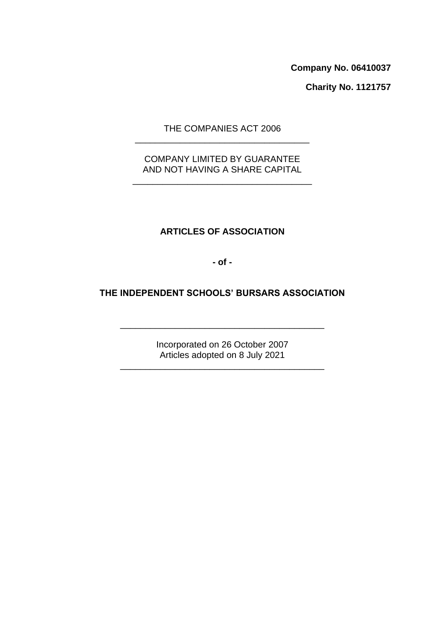Company No. 06410037 **Company No. 06410037**

Charity No. 1121757 **Charity No. 1121757**

THE COMPANIES ACT 2006 THE COMPANIES ACT 2006 \_\_\_\_\_\_\_\_\_\_\_\_\_\_\_\_\_\_\_\_\_\_\_\_\_\_\_\_\_\_\_\_\_\_\_

### COMPANY LIMITED BY GUARANTEE COMPANY LIMITED BY GUARANTEE AND NOT HAVING A SHARE CAPITAL AND NOT HAVING A SHARE CAPITAL

\_\_\_\_\_\_\_\_\_\_\_\_\_\_\_\_\_\_\_\_\_\_\_\_\_\_\_\_\_\_\_\_\_\_\_\_

# ARTICLES OF ASSOCIATION **ARTICLES OF ASSOCIATION**

-of-**- of -**

# THE INDEPENDENT SCHOOLS' BURSARS ASSOCIATION **THE INDEPENDENT SCHOOLS' BURSARS ASSOCIATION**

Incorporated on 26 October 2007 Incorporated on 26 October 2007 Articles adopted on 8 July 2021 Articles adopted on 8 July 2021

\_\_\_\_\_\_\_\_\_\_\_\_\_\_\_\_\_\_\_\_\_\_\_\_\_\_\_\_\_\_\_\_\_\_\_\_\_\_\_\_\_

\_\_\_\_\_\_\_\_\_\_\_\_\_\_\_\_\_\_\_\_\_\_\_\_\_\_\_\_\_\_\_\_\_\_\_\_\_\_\_\_\_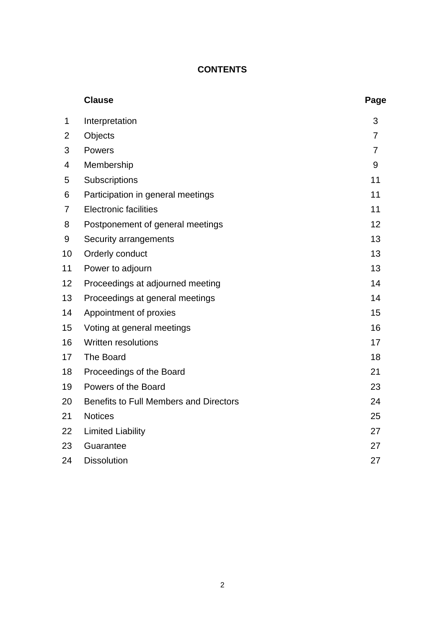### CONTENTS **CONTENTS**

|    | <b>Clause</b>                          | Page           |
|----|----------------------------------------|----------------|
| 1  | Interpretation                         | 3              |
| 2  | Objects                                | $\overline{7}$ |
| 3  | Powers                                 | $\overline{7}$ |
| 4  | Membership                             | 9              |
| 5  | Subscriptions                          | 11             |
| 6  | Participation in general meetings      | 11             |
| 7  | <b>Electronic facilities</b>           | 11             |
| 8  | Postponement of general meetings       | 12             |
| 9  | Security arrangements                  | 13             |
| 10 | Orderly conduct                        | 13             |
| 11 | Power to adjourn                       | 13             |
| 12 | Proceedings at adjourned meeting       | 14             |
| 13 | Proceedings at general meetings        | 14             |
| 14 | Appointment of proxies                 | 15             |
| 15 | Voting at general meetings             | 16             |
| 16 | <b>Written resolutions</b>             | 17             |
| 17 | The Board                              | 18             |
| 18 | Proceedings of the Board               | 21             |
| 19 | Powers of the Board                    | 23             |
| 20 | Benefits to Full Members and Directors | 24             |
| 21 | <b>Notices</b>                         | 25             |
| 22 | <b>Limited Liability</b>               | 27             |
| 23 | Guarantee                              | 27             |
| 24 | <b>Dissolution</b>                     | 27             |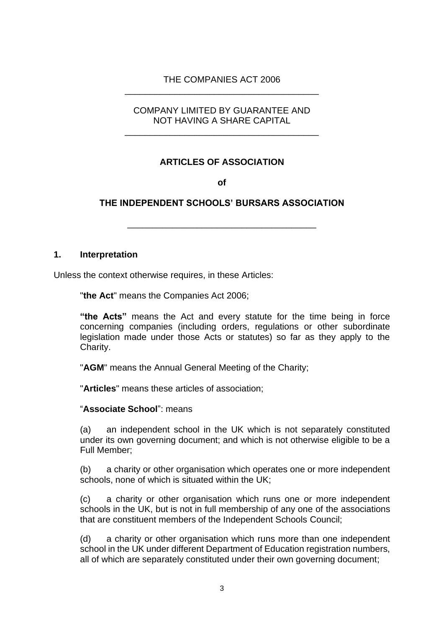### THE COMPANIES ACT 2006 THE COMPANIES ACT 2006 \_\_\_\_\_\_\_\_\_\_\_\_\_\_\_\_\_\_\_\_\_\_\_\_\_\_\_\_\_\_\_\_\_\_\_\_\_\_\_

### COMPANY LIMITED BY GUARANTEE AND COMPANY LIMITED BY GUARANTEE AND NOT HAVING A SHARE CAPITAL NOT HAVING A SHARE CAPITAL

\_\_\_\_\_\_\_\_\_\_\_\_\_\_\_\_\_\_\_\_\_\_\_\_\_\_\_\_\_\_\_\_\_\_\_\_\_\_\_

## ARTICLES OF ASSOCIATION **ARTICLES OF ASSOCIATION**

of **of**

## THE INDEPENDENT SCHOOLS' BURSARS ASSOCIATION **THE INDEPENDENT SCHOOLS' BURSARS ASSOCIATION**

\_\_\_\_\_\_\_\_\_\_\_\_\_\_\_\_\_\_\_\_\_\_\_\_\_\_\_\_\_\_\_\_\_\_\_\_\_\_

### 1. Interpretation **1. Interpretation**

Unless the context otherwise requires, in these Articles: Unless the context otherwise requires, in these Articles:

"the Act" means the Companies Act 2006; "**the Act**" means the Companies Act 2006;

"the Acts" means the Act and every statute for the time being in force **"the Acts"** means the Act and every statute for the time being in force concerning companies (including orders, regulations or other subordinate concerning companies (including orders, regulations or other subordinate legislation made under those Acts or statutes) so far as they apply to the legislation made under those Acts or statutes) so far as they apply to the Charity. Charity.

"AGM" means the Annual General Meeting of the Charity; "**AGM**" means the Annual General Meeting of the Charity;

"Articles" means these articles of association; "**Articles**" means these articles of association;

"Associate School": means "**Associate School**": means

(a) an independent school in the UK which is not separately constituted (a) an independent school in the UK which is not separately constituted under its own governing document; and which is not otherwise eligible to be a<br>Full Member; Full Member;

(b) a charity or other organisation which operates one or more independent (b) a charity or other organisation which operates one or more independent schools, none of which is situated within the UK; schools, none of which is situated within the UK;

(c) a charity or other organisation which runs one or more independent (c) a charity or other organisation which runs one or more independent schools in the UK, but is not in full membership of any one of the associations schools in the UK, but is not in full membership of any one of the associations that are constituent members of the Independent Schools Council; that are constituent members of the Independent Schools Council;

(d) a charity or other organisation which runs more than one independent (d) a charity or other organisation which runs more than one independent school in the UK under different Department of Education registration numbers, school in the UK under different Department of Education registration numbers, all of which are separately constituted under their own governing document; all of which are separately constituted under their own governing document;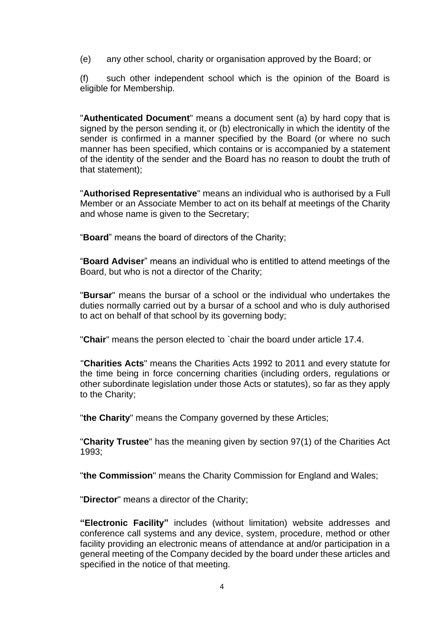(e) any other school, charity or organisation approved by the Board; or (e) any other school, charity or organisation approved by the Board; or

(f) such other independent school which is the opinion of the Board is eligible for Membership. eligible for Membership.

"Authenticated Document" means a document sent (a) by hard copy that is "**Authenticated Document**" means a document sent (a) by hard copy that is signed by the person sending it, or (b) electronically in which the identity of the signed by the person sending it, or (b) electronically in which the identity of the sender is confirmed in a manner specified by the Board (or where no such sender is confirmed in a manner specified by the Board (or where no such manner has been specified, which contains or is accompanied by a statement of the identity of the sender and the Board has no reason to doubt the truth of that statement); manner has been specified, which contains or is accompanied by a statement<br>of the identity of the sender and the Board has no reason to doubt the truth of<br>that statement);

"Authorised Representative" means an individual who is authorised by a Full "**Authorised Representative**" means an individual who is authorised by a Full Member or an Associate Member to act on its behalf at meetings of the Charity Member or an Associate Member to act on its behalf at meetings of the Charity and whose name is given to the Secretary; and whose name is given to the Secretary;

"Board" means the board of directors of the Charity; "**Board**" means the board of directors of the Charity;

"Board Adviser" means an individual who is entitled to attend meetings of the "**Board Adviser**" means an individual who is entitled to attend meetings of the Board, but who is not a director of the Charity; Board, but who is not a director of the Charity;

"Bursar" means the bursar of a school or the individual who undertakes the "**Bursar**" means the bursar of a school or the individual who undertakes the duties normally carried out by a bursar of a school and who is duly authorised duties normally carried out by a bursar of a school and who is duly authorised to act on behalf of that school by its governing body; to act on behalf of that school by its governing body;

"Chair" means the person elected to 'chair the board under article 17.4. "**Chair**" means the person elected to `chair the board under article 17.4.

"Charities Acts" means the Charities Acts 1992 to 2011 and every statute for "**Charities Acts**" means the Charities Acts 1992 to 2011 and every statute for the time being in force concerning charities (including orders, regulations or the time being in force concerning charities (including orders, regulations or other subordinate legislation under those Acts or statutes), so far as they apply other subordinate legislation under those Acts or statutes), so far as they apply to the Charity; to the Charity;

"the Charity" means the Company governed by these Articles; "**the Charity**" means the Company governed by these Articles;

"Charity Trustee" has the meaning given by section 97(1) of the Charities Act "**Charity Trustee**" has the meaning given by section 97(1) of the Charities Act 1993; 1993;

"the Commission" means the Charity Commission for England and Wales; "**the Commission**" means the Charity Commission for England and Wales;

"Director" means a director of the Charity; "**Director**" means a director of the Charity;

"Electronic Facility" includes (without limitation) website addresses and "Electronic Facility" includes (without limitation) website addresses and<br>conference call systems and any device, system, procedure, method or other facility providing an electronic means of attendance at and/or participation in a facility providing an electronic means of attendance at and/or participation in a general meeting of the Company decided by the board under these articles and general meeting of the Company decided by the board under these articles and specified in the notice of that meeting. specified in the notice of that meeting.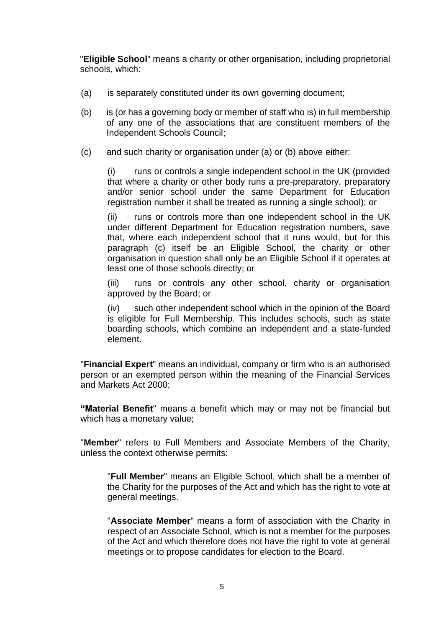"Eligible School" means a charity or other organisation, including proprietorial "**Eligible School**" means a charity or other organisation, including proprietorial schools, which: schools, which:

- (a) is separately constituted under its own governing document; (a) is separately constituted under its own governing document;
- (b) is (or has a governing body or member of staff who is) in full membership of any one of the associations that are constituent members of the of any one of the associations that are constituent members of the Independent Schools Council; Independent Schools Council;
- (c) and such charity or organisation under (a) or (b) above either: (c) and such charity or organisation under (a) or (b) above either:

(i) runs or controls a single independent school in the UK (provided (i) runs or controls a single independent school in the UK (provided that where a charity or other body runs a pre-preparatory, preparatory that where a charity or other body runs a pre-preparatory, preparatory<br>and/or senior school under the same Department for Education registration number it shall be treated as running a single school); or registration number it shall be treated as running a single school); or

(ii) runs or controls more than one independent school in the UK (ii) runs or controls more than one independent school in the UK under different Department for Education registration numbers, save under different Department for Education registration numbers, save that, where each independent school that it runs would, but for this that, where each independent school that it runs would, but for this paragraph (c) itself be an Eligible School, the charity or other paragraph (c) itself be an Eligible School, the charity or other organisation in question shall only be an Eligible School if it operates at organisation in question shall only be an Eligible School if it operates at least one of those schools directly; or least one of those schools directly; or

(iii) runs or controls any other school, charity or organisation (iii) runs or controls any other school, charity or organisation approved by the Board; or approved by the Board; or

(iv) such other independent school which in the opinion of the Board (iv) such other independent school which in the opinion of the Board is eligible for Full Membership. This includes schools, such as state is eligible for Full Membership. This includes schools, such as state boarding schools, which combine an independent and a state-funded element. element.

"Financial Expert" means an individual, company or firm who is an authorised "**Financial Expert**" means an individual, company or firm who is an authorised person or an exempted person within the meaning of the Financial Services person or an exempted person within the meaning of the Financial Services and Markets Act 2000; and Markets Act 2000;

"Material Benefit" means a benefit which may or may not be financial but **"Material Benefit**" means a benefit which may or may not be financial but which has a monetary value; which has a monetary value;

"Member" refers to Full Members and Associate Members of the Charity, "**Member**" refers to Full Members and Associate Members of the Charity, unless the context otherwise permits: unless the context otherwise permits:

"Full Member" means an Eligible School, which shall be a member of "**Full Member**" means an Eligible School, which shall be a member of the Charity for the purposes of the Act and which has the right to vote at the Charity for the purposes of the Act and which has the right to vote at general meetings. general meetings.

"Associate Member" means a form of association with the Charity in "**Associate Member**" means a form of association with the Charity in respect of an Associate School, which is not a member for the purposes respect of an Associate School, which is not a member for the purposes<br>of the Act and which therefore does not have the right to vote at general meetings or to propose candidates for election to the Board. meetings or to propose candidates for election to the Board.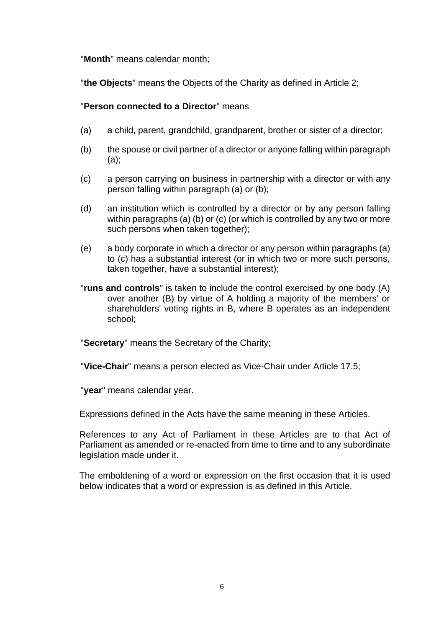# "Month" means calendar month; "**Month**" means calendar month;

"the Objects" means the Objects of the Charity as defined in Article 2; "**the Objects**" means the Objects of the Charity as defined in Article 2;

## "Person connected to a Director" means "**Person connected to a Director**" means

- (a) a child, parent, grandchild, grandparent, brother or sister of a director;
- (a) a child, parent, grandchild, grandparent, brother or sister of a director;<br>(b) the spouse or civil partner of a director or anyone falling within paragraph (a); (a);
- (c) a person carrying on business in partnership with a director or with any (c) a person carrying on business in partnership with a director or with any person falling within paragraph (a) or (b); person falling within paragraph (a) or (b);
- (d) an institution which is controlled by a director or by any person falling (d) an institution which is controlled by a director or by any person falling within paragraphs (a) (b) or (c) (or which is controlled by any two or more such persons when taken together); such persons when taken together);
- (e) a body corporate in which a director or any person within paragraphs (a) (e) a body corporate in which a director or any person within paragraphs (a) to (c) has a substantial interest (or in which two or more such persons, to (c) has a substantial interest (or in which two or more such persons, taken together, have a substantial interest); taken together, have a substantial interest);
- "runs and controls" is taken to include the control exercised by one body (A) "**runs and controls**" is taken to include the control exercised by one body (A) over another (B) by virtue of A holding a majority of the members' or shareholders' voting rights in B, where B operates as an independent shareholders' voting rights in B, where B operates as an independent school;

"Secretary" means the Secretary of the Charity; "**Secretary**" means the Secretary of the Charity;

"Vice-Chair" means a person elected as Vice-Chair under Article 17.5; "**Vice-Chair**" means a person elected as Vice-Chair under Article 17.5;

"year" means calendar year. "**year**" means calendar year.

Expressions defined in the Acts have the same meaning in these Articles. Expressions defined in the Acts have the same meaning in these Articles.

References to any Act of Parliament in these Articles are to that Act of References to any Act of Parliament in these Articles are to that Act of Parliament as amended or re-enacted from time to time and to any subordinate legislation made under it. legislation made under it.

The emboldening of a word or expression on the first occasion that it is used The emboldening of a word or expression on the first occasion that it is used below indicates that a word or expression is as defined in this Article. below indicates that a word or expression is as defined in this Article.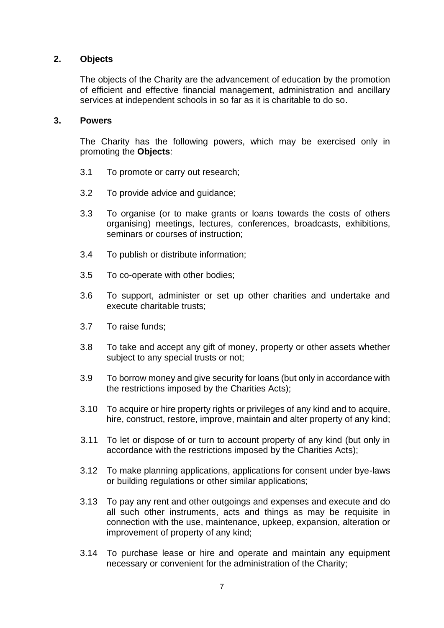# Objects **2. Objects**

The objects of the Charity are the advancement of education by the promotion The objects of the Charity are the advancement of education by the promotion of efficient and effective financial management, administration and ancillary<br>services at independent schools in so far as it is charitable to do so. services at independent schools in so far as it is charitable to do so.

## Powers **3. Powers**

The Charity has the following powers, which may be exercised only in The Charity has the following powers, which may be exercised only in promoting the Objects: promoting the **Objects**:

- 3.1 To promote or carry out research; 3.1 To promote or carry out research;
- 3.2 To provide advice and guidance;
- 3.3 3.2 To provide advice and guidance;<br>3.3 To organise (or to make grants or loans towards the costs of others organising) meetings, lectures, conferences, broadcasts, exhibitions, organising) meetings, lectures, conferences, broadcasts, exhibitions, seminars or courses of instruction; seminars or courses of instruction;
- 3.4 To publish or distribute information; 3.4 To publish or distribute information;
- 3.5 To co-operate with other bodies; 3.5 To co-operate with other bodies;
- 3.6 To support, administer or set up other charities and undertake and 3.6 To support, administer or set up other charities and undertake and execute charitable trusts; execute charitable trusts;
- 3.7 To raise funds;
- 3.8 To take and accept any gift of money, property or other assets whether subject to any special trusts or not; 3.7 To raise funds;<br>3.8 To take and accept any gift of money, property or other assets whether<br>subject to any special trusts or not;
- 3.9 To borrow money and give security for loans (but only in accordance with 3.9 To borrow money and give security for loans (but only in accordance with the restrictions imposed by the Charities Acts); the restrictions imposed by the Charities Acts);
- 3.10 To acquire or hire property rights or privileges of any kind and to acquire, 3.10 To acquire or hire property rights or privileges of any kind and to acquire,<br>hire, construct, restore, improve, maintain and alter property of any kind;
- 3.11 To let or dispose of or turn to account property of any kind (but only in 3.11 To let or dispose of or turn to account property of any kind (but only in accordance with the restrictions imposed by the Charities Acts); accordance with the restrictions imposed by the Charities Acts);
- 3.12 To make planning applications, applications for consent under bye-laws 3.12 To make planning applications, applications for consent under bye-laws or building regulations or other similar applications;
- 3.13 To pay any rent and other outgoings and expenses and execute and do all such other instruments, acts and things as may be requisite in 3.13 To pay any rent and other outgoings and expenses and execute and do all such other instruments, acts and things as may be requisite in connection with the use, maintenance, upkeep, expansion, alteration or connection with the use, maintenance, upkeep, expansion, alteration or improvement of property of any kind; improvement of property of any kind;
- 3.14 To purchase lease or hire and operate and maintain any equipment 3.14 To purchase lease or hire and operate and maintain any equipment necessary or convenient for the administration of the Charity;necessary or convenient for the administration of the Charity;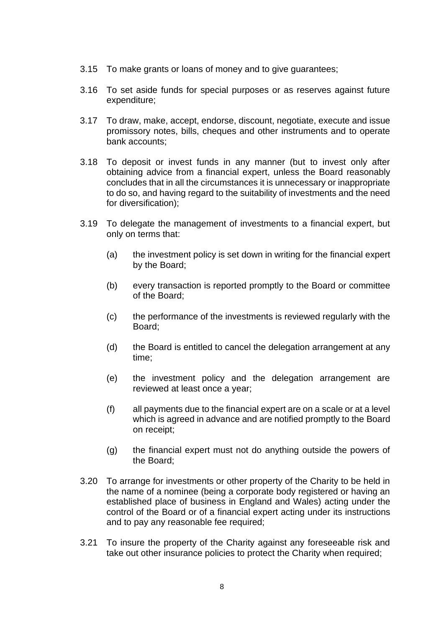- 3.15 To make grants or loans of money and to give guarantees; 3.15 To make grants or loans of money and to give guarantees;
- 3.16 To set aside funds for special purposes or as reserves against future 3.16 To set aside funds for special purposes or as reserves against future expenditure; expenditure;
- 3.17 To draw, make, accept, endorse, discount, negotiate, execute and issue 3.17 To draw, make, accept, endorse, discount, negotiate, execute and issue promissory notes, bills, cheques and other instruments and to operate promissory notes, bills, cheques and other instruments and to operate bank accounts; bank accounts;
- 3.18 To deposit or invest funds in any manner (but to invest only after 3.18 To deposit or invest funds in any manner (but to invest only after obtaining advice from a financial expert, unless the Board reasonably obtaining advice from a financial expert, unless the Board reasonably concludes that in all the circumstances it is unnecessary or inappropriate concludes that in all the circumstances it is unnecessary or inappropriate to do so, and having regard to the suitability of investments and the need to do so, and having regard to the suitability of investments and the need for diversification); for diversification);
- 3.19 To delegate the management of investments to a financial expert, but 3.19 To delegate the management of investments to a financial expert, but only on terms that:
	- (a) the investment policy is set down in writing for the financial expert (a) the investment policy is set down in writing for the financial expert by the Board; by the Board;
	- (b) every transaction is reported promptly to the Board or committee (b) every transaction is reported promptly to the Board or committee of the Board; of the Board;
	- (c) the performance of the investments is reviewed regularly with the (c) the performance of the investments is reviewed regularly with the Board; Board;
	- the Board is entitled to cancel the delegation arrangement at any (d) the Board is entitled to cancel the delegation arrangement at any time; time;
	- the investment policy and the delegation arrangement are (e) the investment policy and the delegation arrangement are reviewed at least once a year; reviewed at least once a year;
	- (f) all payments due to the financial expert are on a scale or at a level (f) all payments due to the financial expert are on a scale or at a level which is agreed in advance and are notified promptly to the Board which is agreed in advance and are notified promptly to the Board on receipt; on receipt;
	- (g) the financial expert must not do anything outside the powers of the Board; the Board;
- 3.20 To arrange for investments or other property of the Charity to be held in 3.20 To arrange for investments or other property of the Charity to be held in the name of a nominee (being a corporate body registered or having an established place of business in England and Wales) acting under the control of the Board or of a financial expert acting under its instructions and to pay any reasonable fee required; and to pay any reasonable fee required; the name of a nominee (being a corporate body registered or having an established place of business in England and Wales) acting under the control of the Board or of a financial expert acting under its instructions
- 3.21 To insure the property of the Charity against any foreseeable risk and 3.21 To insure the property of the Charity against any foreseeable risk and take out other insurance policies to protect the Charity when required; take out other insurance policies to protect the Charity when required;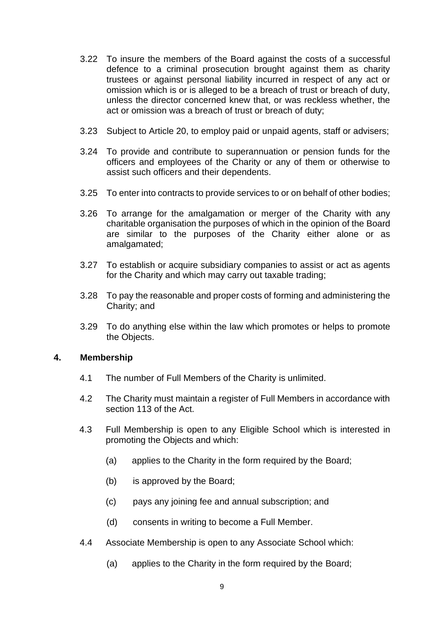- 3.22 To insure the members of the Board against the costs of a successful 3.22 To insure the members of the Board against the costs of a successful defence to a criminal prosecution brought against them as charity defence to a criminal prosecution brought against them as charity trustees or against personal liability incurred in respect of any act or trustees or against personal liability incurred in respect of any act or omission which is or is alleged to be a breach of trust or breach of duty, unless the director concerned knew that, or was reckless whether, the act or omission was a breach of trust or breach of duty; omission which is or is alleged to be a breach of trust or breach of duty,<br>unless the director concerned knew that, or was reckless whether, the<br>act or omission was a breach of trust or breach of duty;
- 3.23 Subject to Article 20, to employ paid or unpaid agents, staff or advisers; 3.23 Subject to Article 20, to employ paid or unpaid agents, staff or advisers;
- 3.24 To provide and contribute to superannuation or pension funds for the 3.24 To provide and contribute to superannuation or pension funds for the officers and employees of the Charity or any of them or otherwise to officers and employees of the Charity or any of them or otherwise to assist such officers and their dependents. assist such officers and their dependents.
- 3.25 To enter into contracts to provide services to or on behalf of other bodies; 3.25 To enter into contracts to provide services to or on behalf of other bodies;
- 3.26 To arrange for the amalgamation or merger of the Charity with any 3.26 To arrange for the amalgamation or merger of the Charity with any charitable organisation the purposes of which in the opinion of the Board charitable organisation the purposes of which in the opinion of the Board are similar to the purposes of the Charity either alone or as<br>amalgamated; amalgamated;
- 3.27 To establish or acquire subsidiary companies to assist or act as agents 3.27 To establish or acquire subsidiary companies to assist or act as agents for the Charity and which may carry out taxable trading; for the Charity and which may carry out taxable trading;
- 3.28 To pay the reasonable and proper costs of forming and administering the 3.28 To pay the reasonable and proper costs of forming and administering the Charity; and Charity; and
- 3.29 To do anything else within the law which promotes or helps to promote 3.29 To do anything else within the law which promotes or helps to promote the Objects. the Objects.

### Membership **4. Membership**

- 4.1 The number of Full Members of the Charity is unlimited. 4.1 The number of Full Members of the Charity is unlimited.
- 4.2 The Charity must maintain a register of Full Members in accordance with 4.2 The Charity must maintain a register of Full Members in accordance with section 113 of the Act. section 113 of the Act.
- 4.3 Full Membership is open to any Eligible School which is interested in 4.3 Full Membership is open to any Eligible School which is interested in promoting the Objects and which: promoting the Objects and which:
	- (a) applies to the Charity in the form required by the Board; (a) applies to the Charity in the form required by the Board;
	- (b) is approved by the Board; (b) is approved by the Board;
	- (c) pays any joining fee and annual subscription; and (c) pays any joining fee and annual subscription; and
	- (d) consents in writing to become a Full Member. (d) consents in writing to become a Full Member.
- 4.4 Associate Membership is open to any Associate School which: 4.4 Associate Membership is open to any Associate School which:
	- (a) applies to the Charity in the form required by the Board; (a) applies to the Charity in the form required by the Board;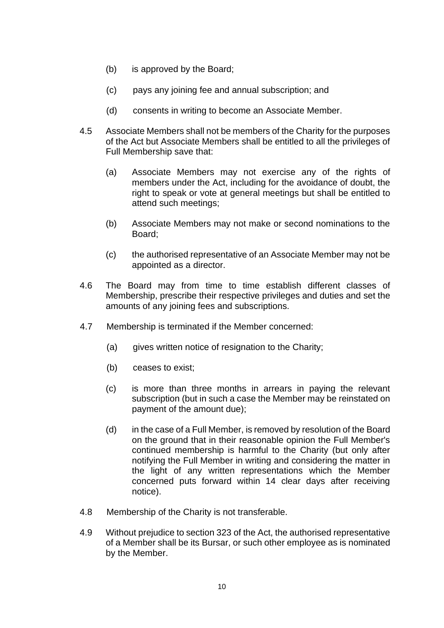- (b) is approved by the Board; (b) is approved by the Board;
- $(c)$ pays any joining fee and annual subscription; and (c) pays any joining fee and annual subscription; and
- $(d)$ consents in writing to become an Associate Member. (d) consents in writing to become an Associate Member.
- 4.5 Associate Members shall not be members of the Charity for the purposes 4.5 Associate Members shall not be members of the Charity for the purposes<br>of the Act but Associate Members shall be entitled to all the privileges of Full Membership save that: Full Membership save that:
	- $(a)$ Associate Members may not exercise any of the rights of (a) Associate Members may not exercise any of the rights of members under the Act, including for the avoidance of doubt, the members under the Act, including for the avoidance of doubt, the<br>right to speak or vote at general meetings but shall be entitled to attend such meetings; attend such meetings;
	- $(b)$ Associate Members may not make or second nominations to the (b) Associate Members may not make or second nominations to the Board; Board;
	- $(c)$ the authorised representative of an Associate Member may not be (c) the authorised representative of an Associate Member may not be appointed as a director. appointed as a director.
- 4.6 The Board may from time to time establish different classes of 4.6 The Board may from time to time establish different classes of Membership, prescribe their respective privileges and duties and set the Membership, prescribe their respective privileges and duties and set the amounts of any joining fees and subscriptions. amounts of any joining fees and subscriptions.
- 4.7 Membership is terminated if the Member concerned: 4.7 Membership is terminated if the Member concerned:
	- gives written notice of resignation to the Charity; (a) gives written notice of resignation to the Charity;
	- ceases to exist; (b) ceases to exist;
	- is more than three months in arrears in paying the relevant (c) is more than three months in arrears in paying the relevant subscription (but in such a case the Member may be reinstated on subscription (but in such a case the Member may be reinstated on payment of the amount due);
	- payment of the amount due);<br>(d) in the case of a Full Member, is removed by resolution of the Board on the ground that in their reasonable opinion the Full Member's continued membership is harmful to the Charity (but only after continued membership is harmful to the Charity (but only after notifying the Full Member in writing and considering the matter in notifying the Full Member in writing and considering the matter in the light of any written representations which the Member the light of any written representations which the Member concerned puts forward within 14 clear days after receiving concerned puts forward within 14 clear days after receiving notice). notice).
- 4.8 Membership of the Charity is not transferable. 4.8 Membership of the Charity is not transferable.
- 4.9 Without prejudice to section 323 of the Act, the authorised representative 4.9 Without prejudice to section 323 of the Act, the authorised representative of a Member shall be its Bursar, or such other employee as is nominated of a Member shall be its Bursar, or such other employee as is nominated by the Member. by the Member.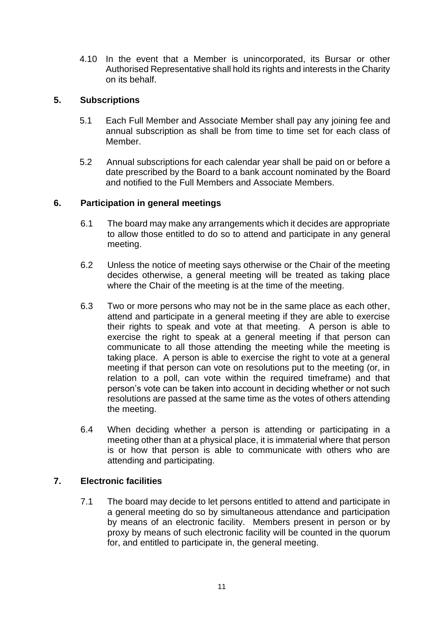4.10 In the event that a Member is unincorporated, its Bursar or other 4.10 In the event that a Member is unincorporated, its Bursar or other Authorised Representative shall hold its rights and interests in the Charity Authorised Representative shall hold its rights and interests in the Charity on its behalf. on its behalf.

# 5. Subscriptions **5. Subscriptions**

- 5.1 Each Full Member and Associate Member shall pay any joining fee and 5.1 Each Full Member and Associate Member shall pay any joining fee and annual subscription as shall be from time to time set for each class of annual subscription as shall be from time to time set for each class of Member. Member.
- 5.2 Annual subscriptions for each calendar year shall be paid on or before a 5.2 Annual subscriptions for each calendar year shall be paid on or before a date prescribed by the Board to a bank account nominated by the Board date prescribed by the Board to a bank account nominated by the Board and notified to the Full Members and Associate Members. and notified to the Full Members and Associate Members.

## 6. Participation in general meetings **6. Participation in general meetings**

- 6.1 The board may make any arrangements which it decides are appropriate 6.1 The board may make any arrangements which it decides are appropriate to allow those entitled to do so to attend and participate in any general<br>meeting. meeting.
- 6.2 Unless the notice of meeting says otherwise or the Chair of the meeting 6.2 Unless the notice of meeting says otherwise or the Chair of the meeting decides otherwise, a general meeting will be treated as taking place decides otherwise, a general meeting will be treated as taking place where the Chair of the meeting is at the time of the meeting. where the Chair of the meeting is at the time of the meeting.
- 6.3 Two or more persons who may not be in the same place as each other, 6.3 Two or more persons who may not be in the same place as each other, attend and participate in a general meeting if they are able to exercise attend and participate in a general meeting if they are able to exercise their rights to speak and vote at that meeting. A person is able to their rights to speak and vote at that meeting. A person is able to exercise the right to speak at a general meeting if that person can communicate to all those attending the meeting while the meeting is taking place. A person is able to exercise the right to vote at a general meeting if that person can vote on resolutions put to the meeting (or, in meeting if that person can vote on resolutions put to the meeting (or, in relation to a poll, can vote within the required timeframe) and that person's vote can be taken into account in deciding whether or not such person's vote can be taken into account in deciding whether or not such resolutions are passed at the same time as the votes of others attending resolutions are passed at the same time as the votes of others attending the meeting. the meeting. exercise the right to speak at a general meeting if that person can<br>communicate to all those attending the meeting while the meeting is<br>taking place. A person is able to exercise the right to vote at a general
- 6.4 When deciding whether a person is attending or participating in a 6.4 When deciding whether a person is attending or participating in a meeting other than at a physical place, it is immaterial where that person meeting other than at a physical place, it is immaterial where that person is or how that person is able to communicate with others who are is or how that person is able to communicate with others who are attending and participating. attending and participating.

# 7. Electronic facilities **7. Electronic facilities**

7.1 The board may decide to let persons entitled to attend and participate in 7.1 The board may decide to let persons entitled to attend and participate in a general meeting do so by simultaneous attendance and participation a general meeting do so by simultaneous attendance and participation by means of an electronic facility. Members present in person or by by means of an electronic facility. Members present in person or by proxy by means of such electronic facility will be counted in the quorum proxy by means of such electronic facility will be counted in the quorum for, and entitled to participate in, the general meeting. for, and entitled to participate in, the general meeting.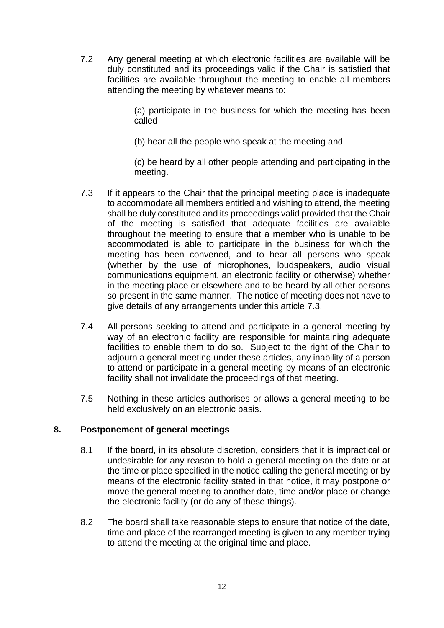7.2 Any general meeting at which electronic facilities are available will be 7.2 Any general meeting at which electronic facilities are available will be duly constituted and its proceedings valid if the Chair is satisfied that duly constituted and its proceedings valid if the Chair is satisfied that facilities are available throughout the meeting to enable all members facilities are available throughout the meeting to enable all members attending the meeting by whatever means to: attending the meeting by whatever means to:

> (a) participate in the business for which the meeting has been (a) participate in the business for which the meeting has been called called

(b) hear all the people who speak at the meeting and (b) hear all the people who speak at the meeting and

(c) be heard by all other people attending and participating in the (c) be heard by all other people attending and participating in the meeting. meeting.

- 7.3 If it appears to the Chair that the principal meeting place is inadequate 7.3 If it appears to the Chair that the principal meeting place is inadequate to accommodate all members entitled and wishing to attend, the meeting to accommodate all members entitled and wishing to attend, the meeting shall be duly constituted and its proceedings valid provided that the Chair shall be duly constituted and its proceedings valid provided that the Chair of the meeting is satisfied that adequate facilities are available of the meeting is satisfied that adequate facilities are available throughout the meeting to ensure that a member who is unable to be accommodated is able to participate in the business for which the meeting has been convened, and to hear all persons who speak (whether by the use of microphones, loudspeakers, audio visual (whether by the use of microphones, loudspeakers, audio visual communications equipment, an electronic facility or otherwise) whether communications equipment, an electronic facility or otherwise) whether in the meeting place or elsewhere and to be heard by all other persons in the meeting place or elsewhere and to be heard by all other persons so present in the same manner. The notice of meeting does not have to so present in the same manner. The notice of meeting does not have to give details of any arrangements under this article 7.3. give details of any arrangements under this article 7.3. throughout the meeting to ensure that a member who is unable to be<br>accommodated is able to participate in the business for which the<br>meeting has been convened, and to hear all persons who speak
- 7.4 All persons seeking to attend and participate in a general meeting by 7.4 All persons seeking to attend and participate in a general meeting by way of an electronic facility are responsible for maintaining adequate way of an electronic facility are responsible for maintaining adequate facilities to enable them to do so. Subject to the right of the Chair to facilities to enable them to do so. Subject to the right of the Chair to adjourn a general meeting under these articles, any inability of a person adjourn a general meeting under these articles, any inability of a person to attend or participate in a general meeting by means of an electronic to attend or participate in a general meeting by means of an electronic facility shall not invalidate the proceedings of that meeting. facility shall not invalidate the proceedings of that meeting.
- 7.5 7.5 Nothing in these articles authorises or allows a general meeting to be held exclusively on an electronic basis. held exclusively on an electronic basis.

# Postponement of general meetings **8. Postponement of general meetings**

- 8.1 If the board, in its absolute discretion, considers that it is impractical or undesirable for any reason to hold a general meeting on the date or at 8.1 If the board, in its absolute discretion, considers that it is impractical or undesirable for any reason to hold a general meeting on the date or at the time or place specified in the notice calling the general meeting or by the time or place specified in the notice calling the general meeting or by means of the electronic facility stated in that notice, it may postpone or means of the electronic facility stated in that notice, it may postpone or move the general meeting to another date, time and/or place or change move the general meeting to another date, time and/or place or change the electronic facility (or do any of these things). the electronic facility (or do any of these things).
- 8.2 The board shall take reasonable steps to ensure that notice of the date, 8.2 The board shall take reasonable steps to ensure that notice of the date, time and place of the rearranged meeting is given to any member trying time and place of the rearranged meeting is given to any member trying to attend the meeting at the original time and place. to attend the meeting at the original time and place.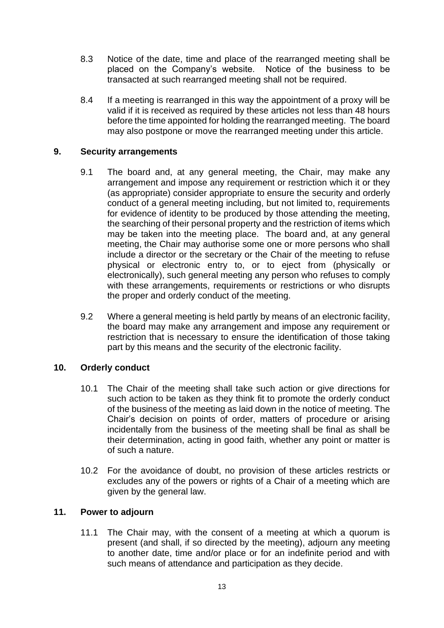- 8.3 Notice of the date, time and place of the rearranged meeting shall be 8.3 Notice of the date, time and place of the rearranged meeting shall be placed on the Company's website. Notice of the business to be placed on the Company's website. Notice of the business to be transacted at such rearranged meeting shall not be required.
- 8.4 transacted at such rearranged meeting shall not be required.<br>8.4 If a meeting is rearranged in this way the appointment of a proxy will be valid if it is received as required by these articles not less than 48 hours valid if it is received as required by these articles not less than 48 hours before the time appointed for holding the rearranged meeting. The board before the time appointed for holding the rearranged meeting. The board may also postpone or move the rearranged meeting under this article. may also postpone or move the rearranged meeting under this article.

# Security arrangements **9. Security arrangements**

- 9.1 The board and, at any general meeting, the Chair, may make any 9.1 The board and, at any general meeting, the Chair, may make any arrangement and impose any requirement or restriction which it or they arrangement and impose any requirement or restriction which it or they (as appropriate) consider appropriate to ensure the security and orderly (as appropriate) consider appropriate to ensure the security and orderly<br>conduct of a general meeting including, but not limited to, requirements for evidence of identity to be produced by those attending the meeting, for evidence of identity to be produced by those attending the meeting, the searching of their personal property and the restriction of items which the searching of their personal property and the restriction of items which may be taken into the meeting place. The board and, at any general may be taken into the meeting place. The board and, at any general meeting, the Chair may authorise some one or more persons who shall meeting, the Chair may authorise some one or more persons who shall include a director or the secretary or the Chair of the meeting to refuse include a director or the secretary or the Chair of the meeting to refuse physical or electronic entry to, or to eject from (physically or physical or electronic entry to, or to eject from (physically or electronically), such general meeting any person who refuses to comply electronically), such general meeting any person who refuses to comply with these arrangements, requirements or restrictions or who disrupts with these arrangements, requirements or restrictions or who disrupts the proper and orderly conduct of the meeting. the proper and orderly conduct of the meeting.
- 9.2 Where a general meeting is held partly by means of an electronic facility, 9.2 Where a general meeting is held partly by means of an electronic facility, the board may make any arrangement and impose any requirement or the board may make any arrangement and impose any requirement or restriction that is necessary to ensure the identification of those taking restriction that is necessary to ensure the identification of those taking part by this means and the security of the electronic facility. part by this means and the security of the electronic facility.

#### 10. Orderly conduct **10. Orderly conduct**

- 10.1 The Chair of the meeting shall take such action or give directions for 10.1 The Chair of the meeting shall take such action or give directions for such action to be taken as they think fit to promote the orderly conduct such action to be taken as they think fit to promote the orderly conduct of the business of the meeting as laid down in the notice of meeting. The of the business of the meeting as laid down in the notice of meeting. The Chair's decision on points of order, matters of procedure or arising Chair's decision on points of order, matters of procedure or arising incidentally from the business of the meeting shall be final as shall be incidentally from the business of the meeting shall be final as shall be their determination, acting in good faith, whether any point or matter is their determination, acting in good faith, whether any point or matter is of such a nature. of such a nature.
- 10.2 For the avoidance of doubt, no provision of these articles restricts or 10.2 For the avoidance of doubt, no provision of these articles restricts or excludes any of the powers or rights of a Chair of a meeting which are excludes any of the powers or rights of a Chair of a meeting which are given by the general law. given by the general law.

#### 11. Power to adjourn **11. Power to adjourn**

11.1 The Chair may, with the consent of a meeting at which a quorum is present (and shall, if so directed by the meeting), adjourn any meeting 11.1 The Chair may, with the consent of a meeting at which a quorum is present (and shall, if so directed by the meeting), adjourn any meeting to another date, time and/or place or for an indefinite period and with to another date, time and/or place or for an indefinite period and with such means of attendance and participation as they decide.such means of attendance and participation as they decide.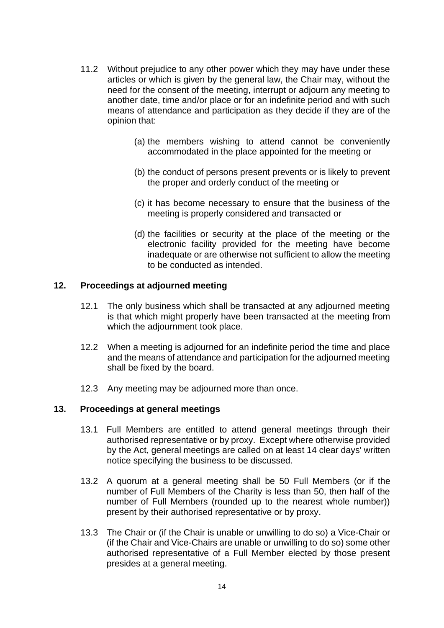- 11.2 Without prejudice to any other power which they may have under these 11.2 Without prejudice to any other power which they may have under these articles or which is given by the general law, the Chair may, without the articles or which is given by the general law, the Chair may, without the need for the consent of the meeting, interrupt or adjourn any meeting to need for the consent of the meeting, interrupt or adjourn any meeting to another date, time and/or place or for an indefinite period and with such another date, time and/or place or for an indefinite period and with such means of attendance and participation as they decide if they are of the means of attendance and participation as they decide if they are of the opinion that: opinion that:
	- (a) the members wishing to attend cannot be conveniently (a) the members wishing to attend cannot be conveniently accommodated in the place appointed for the meeting or accommodated in the place appointed for the meeting or
	- (b) the conduct of persons present prevents or is likely to prevent (b) the conduct of persons present prevents or is likely to prevent the proper and orderly conduct of the meeting or the proper and orderly conduct of the meeting or
	- (c) it has become necessary to ensure that the business of the (c) it has become necessary to ensure that the business of the meeting is properly considered and transacted or meeting is properly considered and transacted or
	- (d) the facilities or security at the place of the meeting or the (d) the facilities or security at the place of the meeting or the electronic facility provided for the meeting have become electronic facility provided for the meeting have become inadequate or are otherwise not sufficient to allow the meeting inadequate or are otherwise not sufficient to allow the meeting to be conducted as intended. to be conducted as intended.

#### 12. Proceedings at adjourned meeting **12. Proceedings at adjourned meeting**

- 12.1 The only business which shall be transacted at any adjourned meeting 12.1 The only business which shall be transacted at any adjourned meeting is that which might properly have been transacted at the meeting from is that which might properly have been transacted at the meeting from which the adjournment took place. which the adjournment took place.
- 12.2 When a meeting is adjourned for an indefinite period the time and place 12.2 When a meeting is adjourned for an indefinite period the time and place and the means of attendance and participation for the adjourned meeting and the means of attendance and participation for the adjourned meeting shall be fixed by the board. shall be fixed by the board.
- 12.3 Any meeting may be adjourned more than once. 12.3 Any meeting may be adjourned more than once.

#### 13. Proceedings at general meetings **13. Proceedings at general meetings**

- 13.1 Full Members are entitled to attend general meetings through their 13.1 Full Members are entitled to attend general meetings through their authorised representative or by proxy. Except where otherwise provided by the Act, general meetings are called on at least 14 clear days' written notice specifying the business to be discussed. authorised representative or by proxy. Except where otherwise provided<br>by the Act, general meetings are called on at least 14 clear days' written<br>notice specifying the business to be discussed.
- 13.2 A quorum at a general meeting shall be 50 Full Members (or if the 13.2 A quorum at a general meeting shall be 50 Full Members (or if the number of Full Members of the Charity is less than 50, then half of the number of Full Members of the Charity is less than 50, then half of the number of Full Members (rounded up to the nearest whole number)) number of Full Members (rounded up to the nearest whole number)) present by their authorised representative or by proxy.
- 13.3 The Chair or (if the Chair is unable or unwilling to do so) a Vice-Chair or (if the Chair and Vice-Chairs are unable or unwilling to do so) some other authorised representative of a Full Member elected by those present presides at a general meeting. presides at a general meeting. present by their authorised representative or by proxy.<br>13.3 The Chair or (if the Chair is unable or unwilling to do so) a Vice-Chair or<br>(if the Chair and Vice-Chairs are unable or unwilling to do so) some other<br>authorised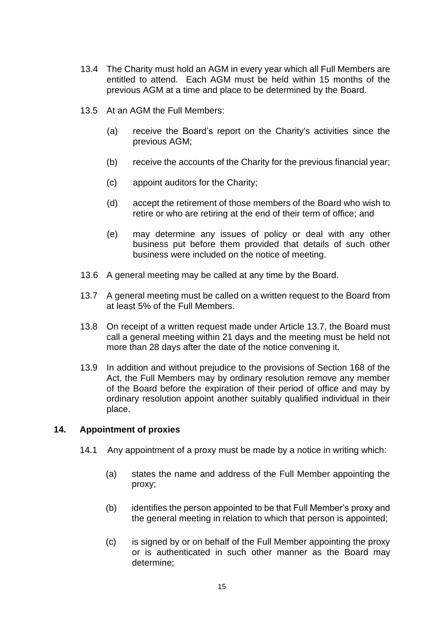- 13.4 The Charity must hold an AGM in every year which all Full Members are 13.4 The Charity must hold an AGM in every year which all Full Members are entitled to attend. Each AGM must be held within 15 months of the entitled to attend. Each AGM must be held within 15 months of the previous AGM at a time and place to be determined by the Board. previous AGM at a time and place to be determined by the Board.
- 13.5 At an AGM the Full Members: 13.5 At an AGM the Full Members:
	- (a) receive the Board's report on the Charity's activities since the (a) receive the Board's report on the Charity's activities since the previous AGM; previous AGM;
	- (b) receive the accounts of the Charity for the previous financial year; (b) receive the accounts of the Charity for the previous financial year;
	- (c) appoint auditors for the Charity; (c) appoint auditors for the Charity;
	- (d) accept the retirement of those members of the Board who wish to (d) accept the retirement of those members of the Board who wish to retire or who are retiring at the end of their term of office; and
	- (e) may determine any issues of policy or deal with any other (e) may determine any issues of policy or deal with any other business put before them provided that details of such other business put before them provided that details of such other business were included on the notice of meeting. business were included on the notice of meeting.
- 13.6 A general meeting may be called at any time by the Board. 13.6 A general meeting may be called at any time by the Board.
- 13.7 A general meeting must be called on a written request to the Board from 13.7 A general meeting must be called on a written request to the Board from at least 5% of the Full Members. at least 5% of the Full Members.
- 13.8 On receipt of a written request made under Article 13.7, the Board must call a general meeting within 21 days and the meeting must be held not 13.8 On receipt of a written request made under Article 13.7, the Board must call a general meeting within 21 days and the meeting must be held not more than 28 days after the date of the notice convening it. more than 28 days after the date of the notice convening it.
- 13.9 In addition and without prejudice to the provisions of Section 168 of the 13.9 In addition and without prejudice to the provisions of Section 168 of the Act, the Full Members may by ordinary resolution remove any member Act, the Full Members may by ordinary resolution remove any member of the Board before the expiration of their period of office and may by ordinary resolution appoint another suitably qualified individual in their place. of the Board before the expiration of their period of office and may by<br>ordinary resolution appoint another suitably qualified individual in their<br>place.

#### 14. Appointment of proxies **14. Appointment of proxies**

- 14.1 Any appointment of a proxy must be made by a notice in writing which: 14.1 Any appointment of a proxy must be made by a notice in writing which:
	- (a) states the name and address of the Full Member appointing the (a) states the name and address of the Full Member appointing the proxy; proxy;
	- (b) identifies the person appointed to be that Full Member's proxy and (b) identifies the person appointed to be that Full Member's proxy and the general meeting in relation to which that person is appointed; the general meeting in relation to which that person is appointed;
	- (c) is signed by or on behalf of the Full Member appointing the proxy (c) is signed by or on behalf of the Full Member appointing the proxy or is authenticated in such other manner as the Board may determine; determine;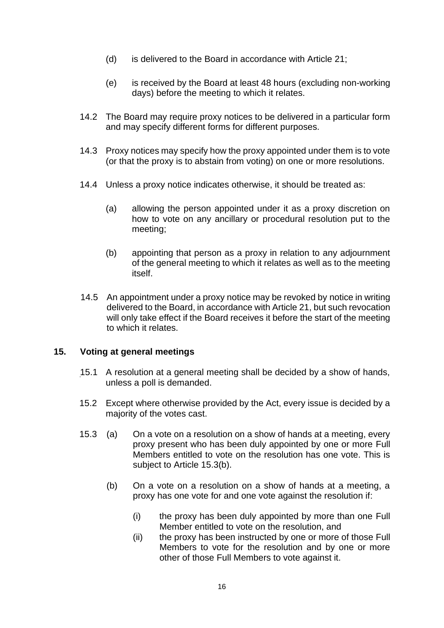- (d) is delivered to the Board in accordance with Article 21; (d) is delivered to the Board in accordance with Article 21;
- (e) is received by the Board at least 48 hours (excluding non-working (e) is received by the Board at least 48 hours (excluding non-working days) before the meeting to which it relates. days) before the meeting to which it relates.
- 14.2 The Board may require proxy notices to be delivered in a particular form 14.2 The Board may require proxy notices to be delivered in a particular form and may specify different forms for different purposes. and may specify different forms for different purposes.
- 14.3 Proxy notices may specify how the proxy appointed under them is to vote 14.3 Proxy notices may specify how the proxy appointed under them is to vote (or that the proxy is to abstain from voting) on one or more resolutions. (or that the proxy is to abstain from voting) on one or more resolutions.
- 14.4 Unless a proxy notice indicates otherwise, it should be treated as: 14.4 Unless a proxy notice indicates otherwise, it should be treated as:
	- (a) allowing the person appointed under it as a proxy discretion on how to vote on any ancillary or procedural resolution put to the (a) allowing the person appointed under it as a proxy discretion on how to vote on any ancillary or procedural resolution put to the meeting; meeting;
	- (b) appointing that person as a proxy in relation to any adjournment (b) appointing that person as a proxy in relation to any adjournment of the general meeting to which it relates as well as to the meeting<br>itself. itself.
- 14.5 An appointment under a proxy notice may be revoked by notice in writing<br>delivered to the Board, in accordance with Article 21, but such revocation delivered to the Board, in accordance with Article 21, but such revocation will only take effect if the Board receives it before the start of the meeting will only take effect if the Board receives it before the start of the meeting to which it relates. to which it relates.

#### 15. Voting at general meetings **15. Voting at general meetings**

- \_15.1 A resolution at a general meeting shall be decided by a show of hands, 15.1 A resolution at a general meeting shall be decided by a show of hands, unless a poll is demanded. unless a poll is demanded.
- 15.2 Except where otherwise provided by the Act, every issue is decided by a 15.2 Except where otherwise provided by the Act, every issue is decided by a majority of the votes cast. majority of the votes cast.
- 15.3 (a) On a vote on a resolution on a show of hands at a meeting, every 15.3 (a) On a vote on a resolution on a show of hands at a meeting, every proxy present who has been duly appointed by one or more Full proxy present who has been duly appointed by one or more Full Members entitled to vote on the resolution has one vote. This is Members entitled to vote on the resolution has one vote. This is subject to Article 15.3(b). subject to Article 15.3(b).
	- (b) On a vote on a resolution on a show of hands at a meeting, a (b) On a vote on a resolution on a show of hands at a meeting, a proxy has one vote for and one vote against the resolution if:
		- (i) the proxy has been duly appointed by more than one Full (i) the proxy has been duly appointed by more than one Full Member entitled to vote on the resolution, and Member entitled to vote on the resolution, and
		- (ii) the proxy has been instructed by one or more of those Full (ii) the proxy has been instructed by one or more of those Full Members to vote for the resolution and by one or more Members to vote for the resolution and by one or more other of those Full Members to vote against it.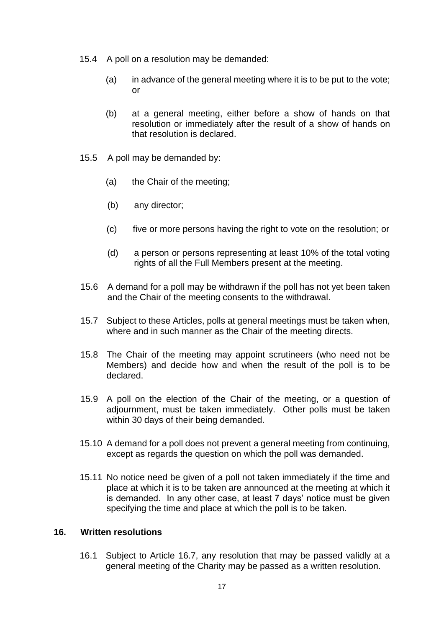- 15.4 A poll on a resolution may be demanded: 15.4 A poll on a resolution may be demanded:
	- (a) in advance of the general meeting where it is to be put to the vote; (a) in advance of the general meeting where it is to be put to the vote; or or
	- (b) at a general meeting, either before a show of hands on that (b) at a general meeting, either before a show of hands on that resolution or immediately after the result of a show of hands on resolution or immediately after the result of a show of hands on that resolution is declared. that resolution is declared.
- 15.5 A poll may be demanded by: 15.5 A poll may be demanded by:
	- (a) the Chair of the meeting; (a) the Chair of the meeting;
	- (b) any director; (b) any director;
	- (c) five or more persons having the right to vote on the resolution; or (c) five or more persons having the right to vote on the resolution; or
	- (d) a person or persons representing at least 10% of the total voting (d) a person or persons representing at least 10% of the total voting rights of all the Full Members present at the meeting. rights of all the Full Members present at the meeting.
- 15.6 A demand for a poll may be withdrawn if the poll has not yet been taken 15.6 A demand for a poll may be withdrawn if the poll has not yet been taken and the Chair of the meeting consents to the withdrawal. and the Chair of the meeting consents to the withdrawal.
- 15.7 Subject to these Articles, polls at general meetings must be taken when, 15.7 Subject to these Articles, polls at general meetings must be taken when, where and in such manner as the Chair of the meeting directs. where and in such manner as the Chair of the meeting directs.
- 15.8 The Chair of the meeting may appoint scrutineers (who need not be Members) and decide how and when the result of the poll is to be declared. 15.8 The Chair of the meeting may appoint scrutineers (who need not be Members) and decide how and when the result of the poll is to be declared.
- 15.9 A poll on the election of the Chair of the meeting, or a question of 15.9 A poll on the election of the Chair of the meeting, or a question of adjournment, must be taken immediately. Other polls must be taken adjournment, must be taken immediately. Other polls must be taken within 30 days of their being demanded. within 30 days of their being demanded.
- 15.10 A demand for a poll does not prevent a general meeting from continuing, 15.10 A demand for a poll does not prevent a general meeting from continuing, except as regards the question on which the poll was demanded. except as regards the question on which the poll was demanded.
- 15.11 No notice need be given of a poll not taken immediately if the time and 15.11 No notice need be given of a poll not taken immediately if the time and place at which it is to be taken are announced at the meeting at which it place at which it is to be taken are announced at the meeting at which it is demanded. In any other case, at least 7 days' notice must be given is demanded. In any other case, at least 7 days' notice must be given specifying the time and place at which the poll is to be taken. specifying the time and place at which the poll is to be taken.

### 16. Written resolutions **16. Written resolutions**

16.1 Subject to Article 16.7, any resolution that may be passed validly at a 16.1 Subject to Article 16.7, any resolution that may be passed validly at a general meeting of the Charity may be passed as a written resolution. general meeting of the Charity may be passed as a written resolution.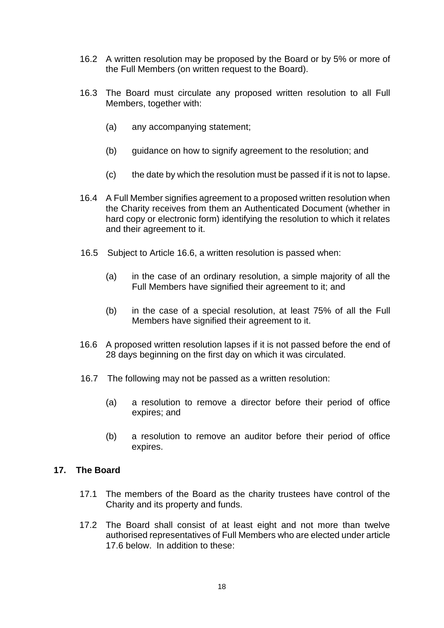- 16.2 A written resolution may be proposed by the Board or by 5% or more of 16.2 A written resolution may be proposed by the Board or by 5% or more of the Full Members (on written request to the Board). the Full Members (on written request to the Board).
- 16.3 The Board must circulate any proposed written resolution to all Full 16.3 The Board must circulate any proposed written resolution to all Full Members, together with: Members, together with:
	- (a) any accompanying statement; (a) any accompanying statement;
	- (b) guidance on how to signify agreement to the resolution; and (b) guidance on how to signify agreement to the resolution; and
	- (c) the date by which the resolution must be passed if it is not to lapse. (c) the date by which the resolution must be passed if it is not to lapse.
- 16.4 A Full Member signifies agreement to a proposed written resolution when 16.4 A Full Member signifies agreement to a proposed written resolution when the Charity receives from them an Authenticated Document (whether in hard copy or electronic form) identifying the resolution to which it relates hard copy or electronic form) identifying the resolution to which it relates and their agreement to it. and their agreement to it.
- 16.5 Subject to Article 16.6, a written resolution is passed when: 16.5 Subject to Article 16.6, a written resolution is passed when:
	- (a) in the case of an ordinary resolution, a simple majority of all the (a) in the case of an ordinary resolution, a simple majority of all the Full Members have signified their agreement to it; and Full Members have signified their agreement to it; and
	- (b) in the case of a special resolution, at least 75% of all the Full (b) in the case of a special resolution, at least 75% of all the Full Members have signified their agreement to it. Members have signified their agreement to it.
- 16.6 A proposed written resolution lapses if it is not passed before the end of 16.6 A proposed written resolution lapses if it is not passed before the end of 28 days beginning on the first day on which it was circulated. 28 days beginning on the first day on which it was circulated.
- 16.7 The following may not be passed as a written resolution: 16.7 The following may not be passed as a written resolution:
	- (a) a resolution to remove a director before their period of office (a) a resolution to remove a director before their period of office expires; and expires; and
	- (b) a resolution to remove an auditor before their period of office (b) a resolution to remove an auditor before their period of office expires. expires.

# 17. The Board **17. The Board**

- 17.1 The members of the Board as the charity trustees have control of the 17.1 The members of the Board as the charity trustees have control of the Charity and its property and funds. Charity and its property and funds.
- 17.2 The Board shall consist of at least eight and not more than twelve 17.2 The Board shall consist of at least eight and not more than twelve authorised representatives of Full Members who are elected under article<br>17.6 below. In addition to these: 17.6 below. In addition to these: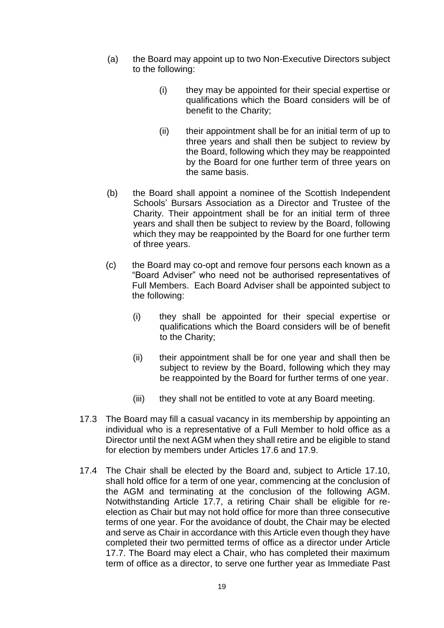- (8) the Board may appoint up to two Non—Executive Directors subject (a) the Board may appoint up to two Non-Executive Directors subject to the following: to the following:
	- (i) they may be appointed for their special expertise or (i) they may be appointed for their special expertise or qualifications which the Board considers will be of qualifications which the Board considers will be of benefit to the Charity; benefit to the Charity;
	- $(i)$  their appointment shall be for an initial term of up to three years and shall then be subject to review by three years and shall then be subject to review by<br>the Board, following which they may be reappointed by the Board for one further term of three years on by the Board for one further term of three years on the same basis. the same basis.
- the Board shall appoint a nominee of the Scottish Independent (b) the Board shall appoint a nominee of the Scottish Independent Schools' Bursars Association as a Director and Trustee of the Schools' Bursars Association as a Director and Trustee of the Charity. Their appointment shall be for an initial term of three Charity. Their appointment shall be for an initial term of three years and shall then be subject to review by the Board, following years and shall then be subject to review by the Board, following which they may be reappointed by the Board for one further term which they may be reappointed by the Board for one further term of three years. of three years.
- (c) the Board may co-opt and remove four persons each known as a (c) the Board may co-opt and remove four persons each known as a "Board Adviser" who need not be authorised representatives of "Board Adviser" who need not be authorised representatives of Full Members. Each Board Adviser shall be appointed subject to Full Members. Each Board Adviser shall be appointed subject to the following:
	- the following:<br>(i) they shall be appointed for their special expertise or qualifications which the Board considers will be of benefit qualifications which the Board considers will be of benefit to the Charity; to the Charity;
	- (ii) their appointment shall be for one year and shall then be (ii) their appointment shall be for one year and shall then be subject to review by the Board, following which they may subject to review by the Board, following which they may be reappointed by the Board for further terms of one year. be reappointed by the Board for further terms of one year.
	- (iii) they shall not be entitled to vote at any Board meeting. (iii) they shall not be entitled to vote at any Board meeting.
- 17.3 The Board may fill a casual vacancy in its membership by appointing an 17.3 The Board may fill a casual vacancy in its membership by appointing an individual who is a representative of a Full Member to hold office as a individual who is a representative of a Full Member to hold office as a Director until the next AGM when they shall retire and be eligible to stand Director until the next AGM when they shall retire and be eligible to stand for election by members under Articles 17.6 and 17.9. for election by members under Articles 17.6 and 17.9.
- 17.4 The Chair shall be elected by the Board and, subject to Article 17.10, 17.4 The Chair shall be elected by the Board and, subject to Article 17.10, shall hold office for a term of one year, commencing at the conclusion of shall hold office for a term of one year, commencing at the conclusion of the AGM and terminating at the conclusion of the following AGM. the AGM and terminating at the conclusion of the following AGM.<br>Notwithstanding Article 17.7, a retiring Chair shall be eligible for reelection as Chair but may not hold office for more than three consecutive election as Chair but may not hold office for more than three consecutive terms of one year. For the avoidance of doubt, the Chair may be elected terms of one year. For the avoidance of doubt, the Chair may be elected and serve as Chair in accordance with this Article even though they have and serve as Chair in accordance with this Article even though they have completed their two permitted terms of office as a director under Article completed their two permitted terms of office as a director under Article 17.7. The Board may elect a Chair, who has completed their maximum 17.7. The Board may elect a Chair, who has completed their maximum term of office as a director, to serve one further year as Immediate Past term of office as a director, to serve one further year as Immediate Past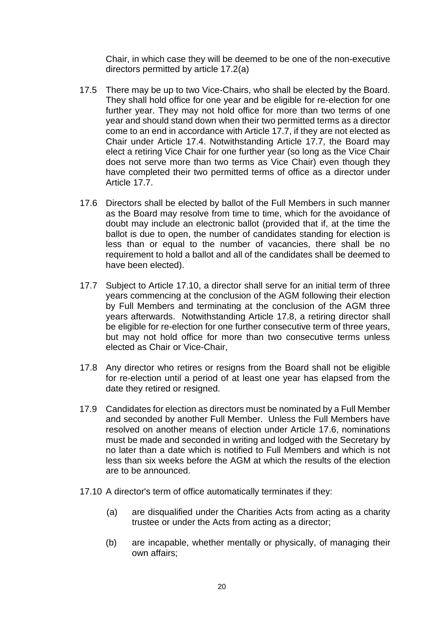Chair, in which case they will be deemed to be one of the non-executive Chair, in which case they will be deemed to be one of the non-executive directors permitted by article 17.2(a) directors permitted by article 17.2(a)

- 17.5 There may be up to two Vice-Chairs, who shall be elected by the Board. 17.5 There may be up to two Vice-Chairs, who shall be elected by the Board. They shall hold office for one year and be eligible for re-election for one They shall hold office for one year and be eligible for re-election for one further year. They may not hold office for more than two terms of one further year. They may not hold office for more than two terms of one year and should stand down when their two permitted terms as a director year and should stand down when their two permitted terms as a director come to an end in accordance with Article 17.7, if they are not elected as come to an end in accordance with Article 17.7, if they are not elected as Chair under Article 17.4. Notwithstanding Article 17.7, the Board may Chair under Article 17.4. Notwithstanding Article 17.7, the Board may elect a retiring Vice Chair for one further year (so long as the Vice Chair elect a retiring Vice Chair for one further year (so long as the Vice Chair does not serve more than two terms as Vice Chair) even though they does not serve more than two terms as Vice Chair) even though they have completed their two permitted terms of office as a director under have completed their two permitted terms of office as a director under Article 17.7. Article 17.7.
- 17.6 Directors shall be elected by ballot of the Full Members in such manner 17.6 Directors shall be elected by ballot of the Full Members in such manner as the Board may resolve from time to time, which for the avoidance of as the Board may resolve from time to time, which for the avoidance of doubt may include an electronic ballot (provided that if, at the time the doubt may include an electronic ballot (provided that if, at the time the ballot is due to open, the number of candidates standing for election is ballot is due to open, the number of candidates standing for election is less than or equal to the number of vacancies, there shall be no less than or equal to the number of vacancies, there shall be no<br>requirement to hold a ballot and all of the candidates shall be deemed to have been elected). have been elected).
- 17.7 Subject to Article 17.10, a director shall serve for an initial term of three 17.7 Subject to Article 17.10, a director shall serve for an initial term of three years commencing at the conclusion of the AGM following their election by Full Members and terminating at the conclusion of the AGM three years afterwards. Notwithstanding Article 17.8, a retiring director shall be eligible for re-election for one further consecutive term of three years, be eligible for re-election for one further consecutive term of three years, but may not hold office for more than two consecutive terms unless but may not hold office for more than two consecutive terms unless elected as Chair or Vice—Chair, elected as Chair or Vice-Chair, years commencing at the conclusion of the AGM following their election<br>by Full Members and terminating at the conclusion of the AGM three<br>years afterwards. Notwithstanding Article 17.8, a retiring director shall
- 17.8 Any director who retires or resigns from the Board shall not be eligible 17.8 Any director who retires or resigns from the Board shall not be eligible for re-election until a period of at least one year has elapsed from the for re-election until a period of at least one year has elapsed from the date they retired or resigned. date they retired or resigned.
- 17.9 Candidates for election as directors must be nominated by a Full Member 17.9 Candidates for election as directors must be nominated by a Full Member and seconded by another Full Member. Unless the Full Members have and seconded by another Full Member. Unless the Full Members have resolved on another means of election under Article 17.6, nominations resolved on another means of election under Article 17.6, nominations must be made and seconded in writing and lodged with the Secretary by must be made and seconded in writing and lodged with the Secretary by<br>no later than a date which is notified to Full Members and which is not less than six weeks before the AGM at which the results of the election less than six weeks before the AGM at which the results of the election are to be announced. are to be announced.
- 17.10 A director's term of office automatically terminates if they: 17.10 A director's term of office automatically terminates if they:
	- (a) are disqualified under the Charities Acts from acting as a charity (a) are disqualified under the Charities Acts from acting as a charity trustee or under the Acts from acting as a director; trustee or under the Acts from acting as a director;
	- (b) are incapable, whether mentally or physically, of managing their (b) are incapable, whether mentally or physically, of managing their own affairs; own affairs;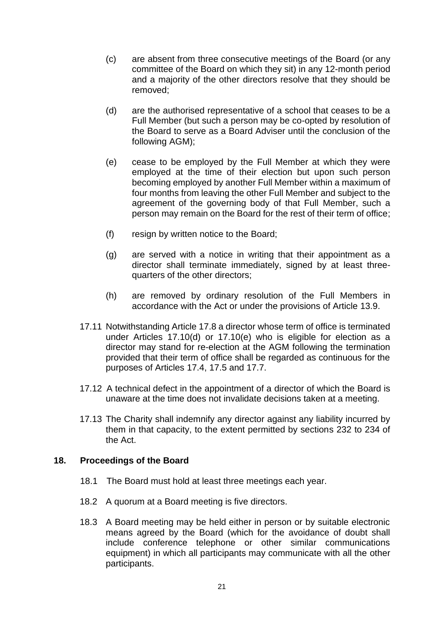- (c) are absent from three consecutive meetings of the Board (or any (c) are absent from three consecutive meetings of the Board (or any committee of the Board on which they sit) in any 12-month period committee of the Board on which they sit) in any 12-month period and a majority of the other directors resolve that they should be and a majority of the other directors resolve that they should be removed; removed;
- (d) are the authorised representative of a school that ceases to be a (d) are the authorised representative of a school that ceases to be a Full Member (but such a person may be co-opted by resolution of Full Member (but such a person may be co-opted by resolution of the Board to serve as a Board Adviser until the conclusion of the the Board to serve as a Board Adviser until the conclusion of the following AGM); following AGM);
- (e) cease to be employed by the Full Member at which they were (e) cease to be employed by the Full Member at which they were employed at the time of their election but upon such person employed at the time of their election but upon such person becoming employed by another Full Member within a maximum of four months from leaving the other Full Member and subject to the agreement of the governing body of that Full Member, such a person may remain on the Board for the rest of their term of office; person may remain on the Board for the rest of their term of office; becoming employed by another Full Member within a maximum of<br>four months from leaving the other Full Member and subject to the<br>agreement of the governing body of that Full Member, such a
- (f) resign by written notice to the Board; (f) resign by written notice to the Board;
- (g) are served with a notice in writing that their appointment as a (g) are served with a notice in writing that their appointment as a director shall terminate immediately, signed by at least three-director shall terminate immediately, signed by at least threequarters of the other directors; quarters of the other directors;
- (h) are removed by ordinary resolution of the Full Members in (h) are removed by ordinary resolution of the Full Members in accordance with the Act or under the provisions of Article 13.9. accordance with the Act or under the provisions of Article 13.9.
- 17.11 Notwithstanding Article 17.8 a director whose term of office is terminated 17.11 Notwithstanding Article 17.8 a director whose term of office is terminated under Articles 17.10(d) or 17.10(e) who is eligible for election as a under Articles 17.10(d) or 17.10(e) who is eligible for election as a director may stand for re-election at the AGM following the termination director may stand for re-election at the AGM following the termination<br>provided that their term of office shall be regarded as continuous for the purposes of Articles 17.4, 17.5 and 17.7. purposes of Articles 17.4, 17.5 and 17.7.
- 17.12 A technical defect in the appointment of a director of which the Board is<br>unaware at the time does not invalidate decisions taken at a meeting. unaware at the time does not invalidate decisions taken at a meeting.
- 17.13 The Charity shall indemnify any director against any liability incurred by 17.13 The Charity shall indemnify any director against any liability incurred by them in that capacity, to the extent permitted by sections 232 to 234 of them in that capacity, to the extent permitted by sections 232 to 234 of the Act.

#### 18. Proceedings of the Board **18. Proceedings of the Board**

- 18.1 The Board must hold at least three meetings each year. 18.1 The Board must hold at least three meetings each year.
- 18.2 A quorum at a Board meeting is five directors. 18.2 A quorum at a Board meeting is five directors.
- 18.3 A Board meeting may be held either in person or by suitable electronic 18.3 A Board meeting may be held either in person or by suitable electronic means agreed by the Board (which for the avoidance of doubt shall means agreed by the Board (which for the avoidance of doubt shall include conference telephone or other similar communications include conference telephone or other similar communications equipment) in which all participants may communicate with all the other<br>participants. participants.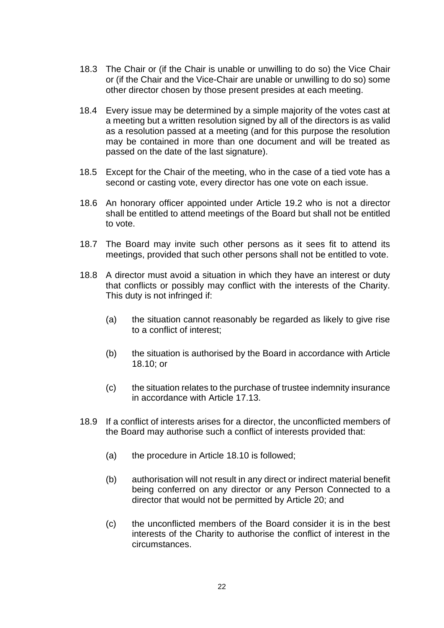- 18.3 The Chair or (if the Chair is unable or unwilling to do so) the Vice Chair 18.3 The Chair or (if the Chair is unable or unwilling to do so) the Vice Chair or (if the Chair and the Vice-Chair are unable or unwilling to do so) some<br>other director chosen by those present presides at each meeting. other director chosen by those present presides at each meeting.
- 18.4 Every issue may be determined by a simple majority of the votes cast at 18.4 Every issue may be determined by a simple majority of the votes cast at a meeting but a written resolution signed by all of the directors is as valid a meeting but a written resolution signed by all of the directors is as valid as a resolution passed at a meeting (and for this purpose the resolution may be contained in more than one document and will be treated as as a resolution passed at a meeting (and for this purpose the resolution may be contained in more than one document and will be treated as passed on the date of the last signature). passed on the date of the last signature).
- 18.5 Except for the Chair of the meeting, who in the case of a tied vote has a second or casting vote, every director has one vote on each issue.<br>18.6 An honorary officer appointed under Article 19.2 who is not a director second or casting vote, every director has one vote on each issue.
- 18.6 An honorary officer appointed under Article 19.2 who is not a director shall be entitled to attend meetings of the Board but shall not be entitled shall be entitled to attend meetings of the Board but shall not be entitled to vote. to vote.
- 18.7 The Board may invite such other persons as it sees fit to attend its 18.7 The Board may invite such other persons as it sees fit to attend its meetings, provided that such other persons shall not be entitled to vote. meetings, provided that such other persons shall not be entitled to vote.
- 18.8 A director must avoid a situation in which they have an interest or duty 18.8 A director must avoid a situation in which they have an interest or duty that conflicts or possibly may conflict with the interests of the Charity.<br>This duty is not infringed if: This duty is not infringed if:
	- (8) the situation cannot reasonably be regarded as likely to give rise (a) the situation cannot reasonably be regarded as likely to give rise to a conflict of interest; to a conflict of interest;
	- (b) the situation is authorised by the Board in accordance with Article (b) the situation is authorised by the Board in accordance with Article 18.10; or 18.10; or
	- (c) the situation relates to the purchase of trustee indemnity insurance (c) the situation relates to the purchase of trustee indemnity insurance in accordance with Article 17.13. in accordance with Article 17.13.
- 18.9 If a conflict of interests arises for a director, the unconflicted members of 18.9 If a conflict of interests arises for a director, the unconflicted members of the Board may authorise such a conflict of interests provided that: the Board may authorise such a conflict of interests provided that:
	- (8) the procedure in Article 18.10 is followed;
	- (a) the procedure in Article 18.10 is followed;<br>(b) authorisation will not result in any direct or indirect material benefit being conferred on any director or any Person Connected to a being conferred on any director or any Person Connected to a director that would not be permitted by Article 20; and director that would not be permitted by Article 20; and
	- (c) the unconflicted members of the Board consider it is in the best (c) the unconflicted members of the Board consider it is in the best interests of the Charity to authorise the conflict of interest in the interests of the Charity to authorise the conflict of interest in the circumstances. circumstances.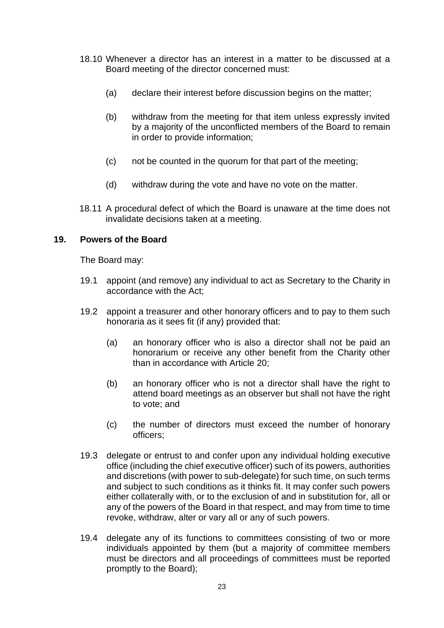- 18.10 Whenever a director has an interest in a matter to be discussed at a 18.10 Whenever a director has an interest in a matter to be discussed at a Board meeting of the director concerned must: Board meeting of the director concerned must:
	- (a) declare their interest before discussion begins on the matter; (a) declare their interest before discussion begins on the matter;
	- (b) withdraw from the meeting for that item unless expressly invited (b) withdraw from the meeting for that item unless expressly invited by a majority of the unconflicted members of the Board to remain by a majority of the unconflicted members of the Board to remain in order to provide information; in order to provide information;
	- (c) not be counted in the quorum for that part of the meeting; (c) not be counted in the quorum for that part of the meeting;
	- (d) withdraw during the vote and have no vote on the matter. (d) withdraw during the vote and have no vote on the matter.
- 18.11 A procedural defect of which the Board is unaware at the time does not 18.11 A procedural defect of which the Board is unaware at the time does not invalidate decisions taken at a meeting. invalidate decisions taken at a meeting.

#### 19. Powers of the Board **19. Powers of the Board**

The Board may: The Board may:

- 19.1 appoint (and remove) any individual to act as Secretary to the Charity in 19.1 appoint (and remove) any individual to act as Secretary to the Charity in accordance with the Act; accordance with the Act;
- 19.2 appoint a treasurer and other honorary officers and to pay to them such 19.2 appoint a treasurer and other honorary officers and to pay to them such honoraria as it sees fit (if any) provided that: honoraria as it sees fit (if any) provided that:
	- (a) an honorary officer who is also a director shall not be paid an (a) an honorary officer who is also a director shall not be paid an honorarium or receive any other benefit from the Charity other honorarium or receive any other benefit from the Charity other than in accordance with Article 20; than in accordance with Article 20;
	- (b) an honorary officer who is not a director shall have the right to (b) an honorary officer who is not a director shall have the right to attend board meetings as an observer but shall not have the right attend board meetings as an observer but shall not have the right to vote; and to vote; and
	- (c) the number of directors must exceed the number of honorary (c) the number of directors must exceed the number of honorary officers; officers;
- 19.3 delegate or entrust to and confer upon any individual holding executive office (including the chief executive officer) such of its powers, authorities and discretions (with power to sub-delegate) for such time, on such terms and subject to such conditions as it thinks fit. It may confer such powers either collaterally with, or to the exclusion of and in substitution for, all or either collaterally with, or to the exclusion of and in substitution for, all or any of the powers of the Board in that respect, and may from time to time<br>revoke, withdraw, alter or vary all or any of such powers. revoke, withdraw, alter or vary all or any of such powers. 19.3 delegate or entrust to and confer upon any individual holding executive office (including the chief executive officer) such of its powers, authorities and discretions (with power to sub-delegate) for such time, on suc
- 19.4 delegate any of its functions to committees consisting of two or more 19.4 delegate any of its functions to committees consisting of two or more individuals appointed by them (but a majority of committee members individuals appointed by them (but a majority of committee members must be directors and all proceedings of committees must be reported must be directors and all proceedings of committees must be reported promptly to the Board); promptly to the Board);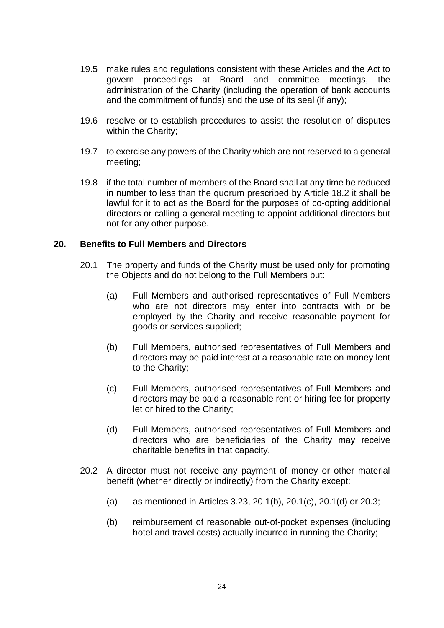- 19.5 make rules and regulations consistent with these Articles and the Act to 19.5 make rules and regulations consistent with these Articles and the Act to govern proceedings at Board and committee meetings, the administration of the Charity (including the operation of bank accounts govern proceedings at Board and committee meetings, the administration of the Charity (including the operation of bank accounts and the commitment of funds) and the use of its seal (if any); and the commitment of funds) and the use of its seal (if any);
- 19.6 resolve or to establish procedures to assist the resolution of disputes 19.6 resolve or to establish procedures to assist the resolution of disputes within the Charity; within the Charity;
- 19.7 to exercise any powers of the Charity which are not reserved to a general 19.7 to exercise any powers of the Charity which are not reserved to a general meeting; meeting;
- 19.8 if the total number of members of the Board shall at any time be reduced 19.8 if the total number of members of the Board shall at any time be reduced in number to less than the quorum prescribed by Article 18.2 it shall be in number to less than the quorum prescribed by Article 18.2 it shall be lawful for it to act as the Board for the purposes of co-opting additional lawful for it to act as the Board for the purposes of co-opting additional directors or calling a general meeting to appoint additional directors but directors or calling a general meeting to appoint additional directors but not for any other purpose. not for any other purpose.

#### 20. Benefits to Full Members and Directors **20. Benefits to Full Members and Directors**

- 20.1 The property and funds of the Charity must be used only for promoting 20.1 The property and funds of the Charity must be used only for promoting the Objects and do not belong to the Full Members but: the Objects and do not belong to the Full Members but:
	- (a) Full Members and authorised representatives of Full Members (a) Full Members and authorised representatives of Full Members who are not directors may enter into contracts with or be who are not directors may enter into contracts with or be employed by the Charity and receive reasonable payment for employed by the Charity and receive reasonable payment for goods or services supplied; goods or services supplied;
	- (b) Full Members, authorised representatives of Full Members and (b) Full Members, authorised representatives of Full Members and directors may be paid interest at a reasonable rate on money lent<br>to the Charity; to the Charity;
	- (c) Full Members, authorised representatives of Full Members and (c) Full Members, authorised representatives of Full Members and directors may be paid a reasonable rent or hiring fee for property directors may be paid a reasonable rent or hiring fee for property let or hired to the Charity; let or hired to the Charity;
	- (d) Full Members, authorised representatives of Full Members and (d) Full Members, authorised representatives of Full Members and directors who are beneficiaries of the Charity may receive directors who are beneficiaries of the Charity may receive charitable benefits in that capacity. charitable benefits in that capacity.
- 20.2 A director must not receive any payment of money or other material 20.2 A director must not receive any payment of money or other material benefit (whether directly or indirectly) from the Charity except: benefit (whether directly or indirectly) from the Charity except:
	- (a) as mentioned in Articles 3.23, 20.1 (b), 20.1 (c), 20.1 (d) or 20.3; (a) as mentioned in Articles 3.23, 20.1(b), 20.1(c), 20.1(d) or 20.3;
	- (b) reimbursement of reasonable out-of-pocket expenses (including (b) reimbursement of reasonable out-of-pocket expenses (including hotel and travel costs) actually incurred in running the Charity; hotel and travel costs) actually incurred in running the Charity;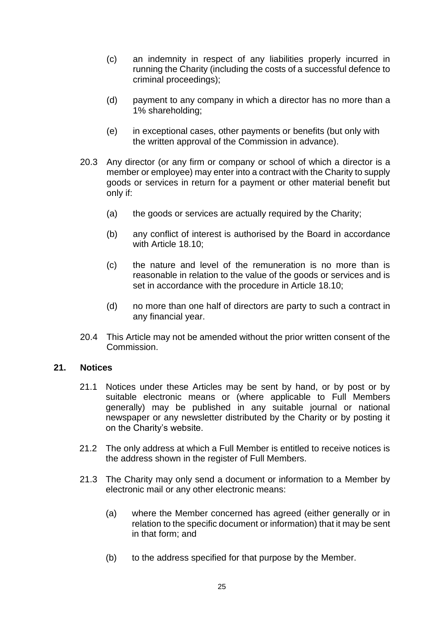- (c) an indemnity in respect of any liabilities properly incurred in (c) an indemnity in respect of any liabilities properly incurred in running the Charity (including the costs of a successful defence to running the Charity (including the costs of a successful defence to criminal proceedings); criminal proceedings);
- (d) payment to any company in which a director has no more than a (d) payment to any company in which a director has no more than a 1% shareholding; 1% shareholding;
- (e) in exceptional cases, other payments or benefits (but only with (e) in exceptional cases, other payments or benefits (but only with the written approval of the Commission in advance). the written approval of the Commission in advance).
- 20.3 Any director (or any firm or company or school of which a director is a 20.3 Any director (or any firm or company or school of which a director is a member or employee) may enter into a contract with the Charity to supply member or employee) may enter into a contract with the Charity to supply goods or services in return for a payment or other material benefit but goods or services in return for a payment or other material benefit but only if: only if:
	- (a) the goods or services are actually required by the Charity; (a) the goods or services are actually required by the Charity;
	- (b) any conflict of interest is authorised by the Board in accordance (b) any conflict of interest is authorised by the Board in accordance with Article 18.10; with Article 18.10;
	- (c) the nature and level of the remuneration is no more than is (c) the nature and level of the remuneration is no more than is reasonable in relation to the value of the goods or services and is reasonable in relation to the value of the goods or services and is set in accordance with the procedure in Article 18.10; set in accordance with the procedure in Article 18.10;
	- (d) no more than one half of directors are party to such a contract in (d) no more than one half of directors are party to such a contract in any financial year. any financial year.
- 20.4 This Article may not be amended without the prior written consent of the 20.4 This Article may not be amended without the prior written consent of the Commission. Commission.

#### 21. Notices **21. Notices**

- 21.1 Notices under these Articles may be sent by hand, or by post or by 21.1 Notices under these Articles may be sent by hand, or by post or by suitable electronic means or (where applicable to Full Members suitable electronic means or (where applicable to Full Members generally) may be published in any suitable journal or national generally) may be published in any suitable journal or national newspaper or any newsletter distributed by the Charity or by posting it<br>on the Charity's website. on the Charity's website.
- 21.2 The only address at which a Full Member is entitled to receive notices is 21.2 The only address at which a Full Member is entitled to receive notices is the address shown in the register of Full Members. the address shown in the register of Full Members.
- 21.3 The Charity may only send a document or information to a Member by 21.3 The Charity may only send a document or information to a Member by electronic mail or any other electronic means: electronic mail or any other electronic means:
	- (a) where the Member concerned has agreed (either generally or in (a) where the Member concerned has agreed (either generally or in relation to the specific document or information) that it may be sent relation to the specific document or information) that it may be sent in that form; and in that form; and
	- (b) to the address specified for that purpose by the Member.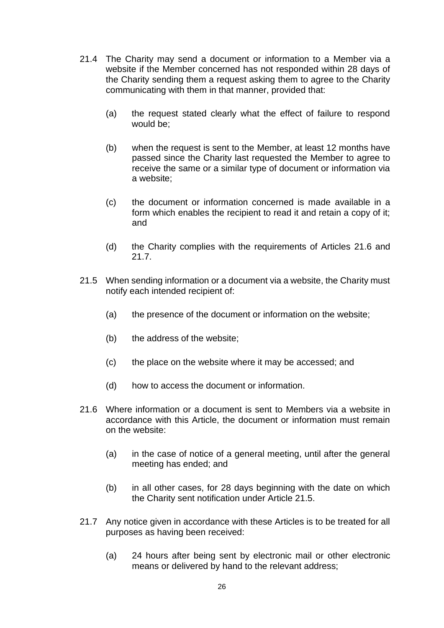- 21.4 The Charity may send a document or information to a Member via a 21.4 The Charity may send a document or information to a Member via a website if the Member concerned has not responded within 28 days of website if the Member concerned has not responded within 28 days of the Charity sending them a request asking them to agree to the Charity<br>communicating with them in that manner, provided that: communicating with them in that manner, provided that:
	- (a) the request stated clearly what the effect of failure to respond (a) the request stated clearly what the effect of failure to respond would be;
	- would be;<br>(b) when the request is sent to the Member, at least 12 months have passed since the Charity last requested the Member to agree to passed since the Charity last requested the Member to agree to receive the same or a similar type of document or information via receive the same or a similar type of document or information via a website; a website;
	- (c) the document or information concerned is made available in a (c) the document or information concerned is made available in a form which enables the recipient to read it and retain a copy of it; form which enables the recipient to read it and retain a copy of it; and and
	- (d) the Charity complies with the requirements of Articles 21.6 and (d) the Charity complies with the requirements of Articles 21.6 and 21.7. 21.7.
- 21.5 When sending information or a document via a website, the Charity must 21.5 When sending information or a document via a website, the Charity must notify each intended recipient of: notify each intended recipient of:
	- (a) the presence of the document or information on the website; (a) the presence of the document or information on the website;
	- (b) the address of the website; (b) the address of the website;
	- (c) the place on the website where it may be accessed; and (c) the place on the website where it may be accessed; and
	- (d) how to access the document or information. (d) how to access the document or information.
- 21.6 Where information or a document is sent to Members via a website in 21.6 Where information or a document is sent to Members via a website in accordance with this Article, the document or information must remain accordance with this Article, the document or information must remain on the website: on the website:
	- (a) in the case of notice of a general meeting, until after the general (a) in the case of notice of a general meeting, until after the general meeting has ended; and meeting has ended; and
	- (b) in all other cases, for 28 days beginning with the date on which (b) in all other cases, for 28 days beginning with the date on which the Charity sent notification under Article 21.5. the Charity sent notification under Article 21.5.
- 21.7 Any notice given in accordance with these Articles is to be treated for all 21.7 Any notice given in accordance with these Articles is to be treated for all purposes as having been received: purposes as having been received:
	- (a) 24 hours after being sent by electronic mail or other electronic (a) 24 hours after being sent by electronic mail or other electronic means or delivered by hand to the relevant address; means or delivered by hand to the relevant address;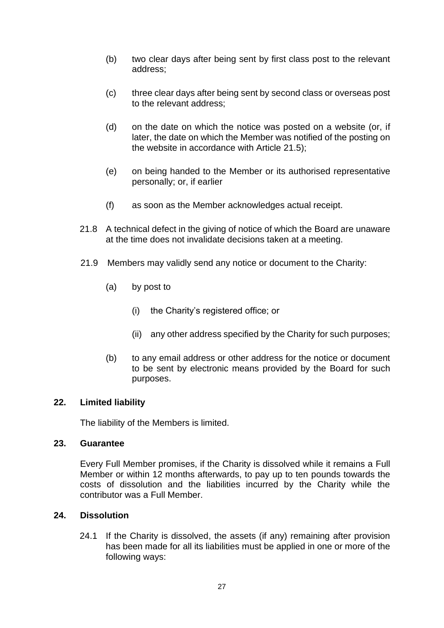- two clear days after being sent by first class post to the relevant (b) two clear days after being sent by first class post to the relevant address; address;
- (c) three clear days after being sent by second class or overseas post<br>to the relevant address; to the relevant address;
- on the date on which the notice was posted on a website (or, if (d) on the date on which the notice was posted on a website (or, if later, the date on which the Member was notified of the posting on later, the date on which the Member was notified of the posting on the website in accordance with Article 21.5); the website in accordance with Article 21.5);
- on being handed to the Member or its authorised representative (e) on being handed to the Member or its authorised representative personally; or, if earlier personally; or, if earlier
- (f) as soon as the Member acknowledges actual receipt. (f) as soon as the Member acknowledges actual receipt.
- 21.8 A technical defect in the giving of notice of which the Board are unaware 21.8 A technical defect in the giving of notice of which the Board are unaware at the time does not invalidate decisions taken at a meeting. at the time does not invalidate decisions taken at a meeting.
- 21.9 Members may validly send any notice or document to the Charity: 21.9 Members may validly send any notice or document to the Charity:
	- $(a)$ by post to (a) by post to
		- (i) the Charity's registered office; or (i) the Charity's registered office; or
		- (ii) any other address specified by the Charity for such purposes; (ii) any other address specified by the Charity for such purposes;
	- to any email address or other address for the notice or document (b) to any email address or other address for the notice or document to be sent by electronic means provided by the Board for such to be sent by electronic means provided by the Board for such purposes. purposes.

#### 22. Limited liability **22. Limited liability**

The liability of the Members is limited. The liability of the Members is limited.

#### 23. Guarantee **23. Guarantee**

Every Full Member promises, if the Charity is dissolved while it remains a Full Every Full Member promises, if the Charity is dissolved while it remains a Full Member or within 12 months afterwards, to pay up to ten pounds towards the Member or within 12 months afterwards, to pay up to ten pounds towards the costs of dissolution and the liabilities incurred by the Charity while the<br>contributor was a Full Member. contributor was a Full Member.

#### 24. Dissolution **24. Dissolution**

24.1 If the Charity is dissolved, the assets (if any) remaining after provision 24.1 If the Charity is dissolved, the assets (if any) remaining after provision has been made for all its liabilities must be applied in one or more of the has been made for all its liabilities must be applied in one or more of the following ways:following ways: